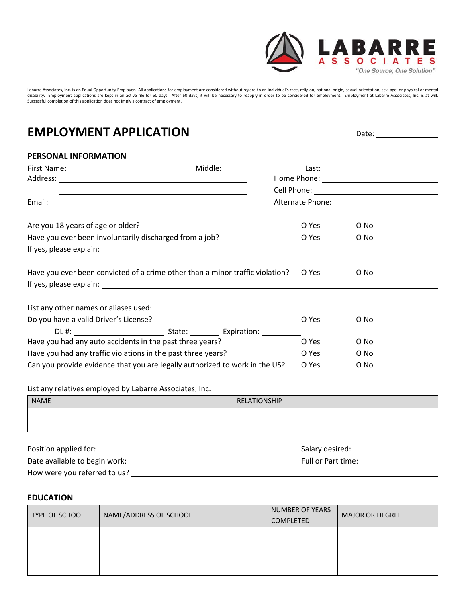

Labarre Associates, Inc. is an Equal Opportunity Employer. All applications for employment are considered without regard to an individual's race, religion, national origin, sexual orientation, sex, age, or physical or ment

## **EMPLOYMENT APPLICATION** Date:  $\frac{1}{2}$

## **PERSONAL INFORMATION**

|                                                              | <u> 1990 - Johann Stoff, amerikansk politiker (d. 1980)</u>                                                     |       |      |  |
|--------------------------------------------------------------|-----------------------------------------------------------------------------------------------------------------|-------|------|--|
|                                                              |                                                                                                                 |       |      |  |
| Are you 18 years of age or older?                            |                                                                                                                 | O Yes | O No |  |
| Have you ever been involuntarily discharged from a job?      |                                                                                                                 | O Yes | O No |  |
|                                                              |                                                                                                                 |       |      |  |
|                                                              | Have you ever been convicted of a crime other than a minor traffic violation?                                   | O Yes | O No |  |
|                                                              |                                                                                                                 |       |      |  |
|                                                              | List any other names or aliases used: North and the same of the same of the same of the same of the same of the |       |      |  |
| Do you have a valid Driver's License?                        |                                                                                                                 | O Yes | O No |  |
|                                                              |                                                                                                                 |       |      |  |
| Have you had any auto accidents in the past three years?     |                                                                                                                 | O Yes | O No |  |
| Have you had any traffic violations in the past three years? |                                                                                                                 | O Yes | O No |  |
|                                                              | Can you provide evidence that you are legally authorized to work in the US?                                     | O Yes | O No |  |
| List any relatives employed by Labarre Associates, Inc.      |                                                                                                                 |       |      |  |

| <b>NAME</b> | <b>RELATIONSHIP</b> |
|-------------|---------------------|
|             |                     |
|             |                     |

| Position applied for:         | Salary desired:    |
|-------------------------------|--------------------|
| Date available to begin work: | Full or Part time: |
| How were you referred to us?  |                    |

### **EDUCATION**

| <b>TYPE OF SCHOOL</b> | NAME/ADDRESS OF SCHOOL | NUMBER OF YEARS<br><b>COMPLETED</b> | <b>MAJOR OR DEGREE</b> |
|-----------------------|------------------------|-------------------------------------|------------------------|
|                       |                        |                                     |                        |
|                       |                        |                                     |                        |
|                       |                        |                                     |                        |
|                       |                        |                                     |                        |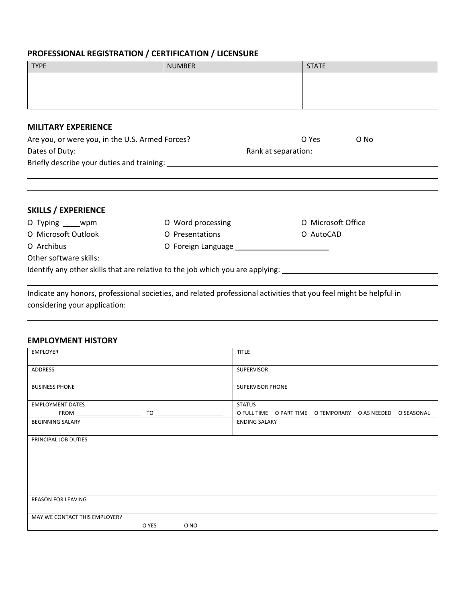## **PROFESSIONAL REGISTRATION / CERTIFICATION / LICENSURE**

| <b>TYPE</b> | <b>NUMBER</b> | <b>STATE</b> |
|-------------|---------------|--------------|
|             |               |              |
|             |               |              |
|             |               |              |

### **MILITARY EXPERIENCE**

| Are you, or were you, in the U.S. Armed Forces?                                                     | O Yes               | O No |
|-----------------------------------------------------------------------------------------------------|---------------------|------|
| Dates of Duty: 1997 and 2008 and 2009 and 2009 and 2009 and 2009 and 2009 and 2009 and 2009 and 200 | Rank at separation: |      |
| Briefly describe your duties and training:                                                          |                     |      |
|                                                                                                     |                     |      |

<u> 1989 - Andrea San Andrew Maria (h. 1989).</u><br>2001 - Maria San Andrew Maria (h. 1989).

<u> 1989 - Andrea Barbara, amerikana amerikana amerikana amerikana amerikana amerikana amerikana amerikana amerik</u>

<u> 1989 - Johann Stoff, die der Stoffenstellung im dem Stoffenstellung im dem Stoffenstellung im dem Stoffenstell</u>

| <b>SKILLS / EXPERIENCE</b> |                                                                                |                    |
|----------------------------|--------------------------------------------------------------------------------|--------------------|
| O Typing _____ wpm         | O Word processing                                                              | O Microsoft Office |
| O Microsoft Outlook        | O Presentations                                                                | O AutoCAD          |
| O Archibus                 |                                                                                |                    |
| Other software skills:     |                                                                                |                    |
|                            | Identify any other skills that are relative to the job which you are applying: |                    |

Indicate any honors, professional societies, and related professional activities that you feel might be helpful in considering your application:

### **EMPLOYMENT HISTORY**

| <b>EMPLOYER</b>               |                                                                                                                                                                                                                                |      | <b>TITLE</b>         |                                                            |  |
|-------------------------------|--------------------------------------------------------------------------------------------------------------------------------------------------------------------------------------------------------------------------------|------|----------------------|------------------------------------------------------------|--|
| ADDRESS                       |                                                                                                                                                                                                                                |      | <b>SUPERVISOR</b>    |                                                            |  |
| <b>BUSINESS PHONE</b>         |                                                                                                                                                                                                                                |      | SUPERVISOR PHONE     |                                                            |  |
| <b>EMPLOYMENT DATES</b>       |                                                                                                                                                                                                                                |      | <b>STATUS</b>        |                                                            |  |
| FROM __                       | TO the contract of the contract of the contract of the contract of the contract of the contract of the contract of the contract of the contract of the contract of the contract of the contract of the contract of the contrac |      |                      | O FULL TIME O PART TIME O TEMPORARY O AS NEEDED O SEASONAL |  |
| <b>BEGINNING SALARY</b>       |                                                                                                                                                                                                                                |      | <b>ENDING SALARY</b> |                                                            |  |
| PRINCIPAL JOB DUTIES          |                                                                                                                                                                                                                                |      |                      |                                                            |  |
| <b>REASON FOR LEAVING</b>     |                                                                                                                                                                                                                                |      |                      |                                                            |  |
| MAY WE CONTACT THIS EMPLOYER? |                                                                                                                                                                                                                                |      |                      |                                                            |  |
|                               | O YES                                                                                                                                                                                                                          | O NO |                      |                                                            |  |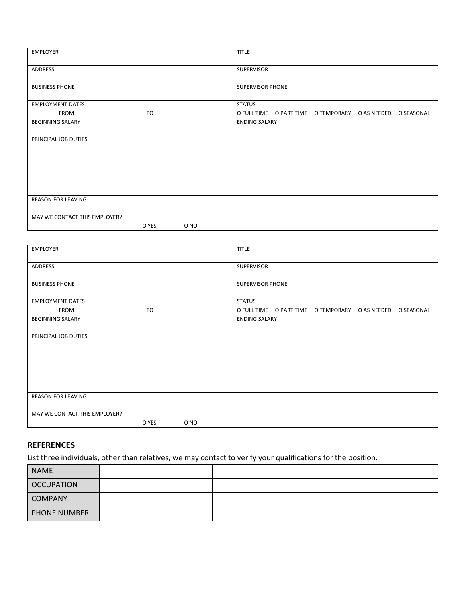| <b>EMPLOYER</b>               |         |      | <b>TITLE</b>         |                                                            |  |
|-------------------------------|---------|------|----------------------|------------------------------------------------------------|--|
| ADDRESS                       |         |      | SUPERVISOR           |                                                            |  |
| <b>BUSINESS PHONE</b>         |         |      | SUPERVISOR PHONE     |                                                            |  |
| <b>EMPLOYMENT DATES</b>       |         |      | <b>STATUS</b>        |                                                            |  |
|                               | $TO \_$ |      |                      | O FULL TIME O PART TIME O TEMPORARY O AS NEEDED O SEASONAL |  |
| <b>BEGINNING SALARY</b>       |         |      | <b>ENDING SALARY</b> |                                                            |  |
| PRINCIPAL JOB DUTIES          |         |      |                      |                                                            |  |
| REASON FOR LEAVING            |         |      |                      |                                                            |  |
| MAY WE CONTACT THIS EMPLOYER? |         |      |                      |                                                            |  |
|                               | O YES   | O NO |                      |                                                            |  |

| EMPLOYER                      |       |                               | <b>TITLE</b>            |                                                            |  |
|-------------------------------|-------|-------------------------------|-------------------------|------------------------------------------------------------|--|
| ADDRESS                       |       |                               | SUPERVISOR              |                                                            |  |
| <b>BUSINESS PHONE</b>         |       |                               | <b>SUPERVISOR PHONE</b> |                                                            |  |
| <b>EMPLOYMENT DATES</b>       |       |                               | <b>STATUS</b>           |                                                            |  |
|                               |       | $TO \underline{\hspace{2cm}}$ |                         | O FULL TIME O PART TIME O TEMPORARY O AS NEEDED O SEASONAL |  |
| <b>BEGINNING SALARY</b>       |       |                               | <b>ENDING SALARY</b>    |                                                            |  |
| PRINCIPAL JOB DUTIES          |       |                               |                         |                                                            |  |
| REASON FOR LEAVING            |       |                               |                         |                                                            |  |
| MAY WE CONTACT THIS EMPLOYER? |       |                               |                         |                                                            |  |
|                               | O YES | O NO                          |                         |                                                            |  |

## **REFERENCES**

List three individuals, other than relatives, we may contact to verify your qualifications for the position.

| <b>NAME</b>         |  |  |
|---------------------|--|--|
| <b>OCCUPATION</b>   |  |  |
| <b>COMPANY</b>      |  |  |
| <b>PHONE NUMBER</b> |  |  |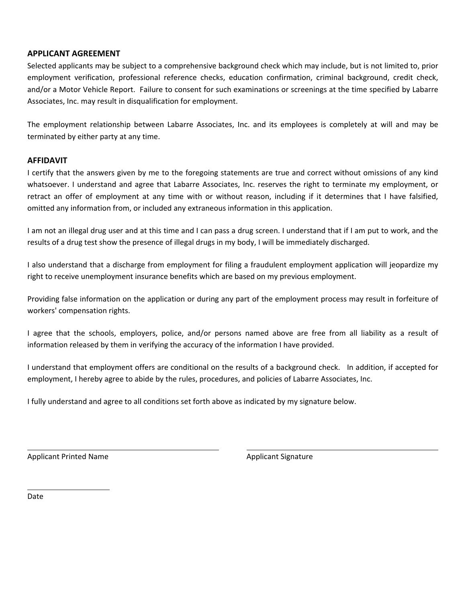### **APPLICANT AGREEMENT**

Selected applicants may be subject to a comprehensive background check which may include, but is not limited to, prior employment verification, professional reference checks, education confirmation, criminal background, credit check, and/or a Motor Vehicle Report. Failure to consent for such examinations or screenings at the time specified by Labarre Associates, Inc. may result in disqualification for employment.

The employment relationship between Labarre Associates, Inc. and its employees is completely at will and may be terminated by either party at any time.

#### **AFFIDAVIT**

I certify that the answers given by me to the foregoing statements are true and correct without omissions of any kind whatsoever. I understand and agree that Labarre Associates, Inc. reserves the right to terminate my employment, or retract an offer of employment at any time with or without reason, including if it determines that I have falsified, omitted any information from, or included any extraneous information in this application.

I am not an illegal drug user and at this time and I can pass a drug screen. I understand that if I am put to work, and the results of a drug test show the presence of illegal drugs in my body, I will be immediately discharged.

I also understand that a discharge from employment for filing a fraudulent employment application will jeopardize my right to receive unemployment insurance benefits which are based on my previous employment.

Providing false information on the application or during any part of the employment process may result in forfeiture of workers' compensation rights.

I agree that the schools, employers, police, and/or persons named above are free from all liability as a result of information released by them in verifying the accuracy of the information I have provided.

I understand that employment offers are conditional on the results of a background check. In addition, if accepted for employment, I hereby agree to abide by the rules, procedures, and policies of Labarre Associates, Inc.

<u> 2008 - Andrea San Andrew Maria (h. 1878).</u><br>2008 - Andrew Maria (h. 1882).

I fully understand and agree to all conditions set forth above as indicated by my signature below.

Applicant Printed Name **Applicant Signature** Applicant Signature

Date